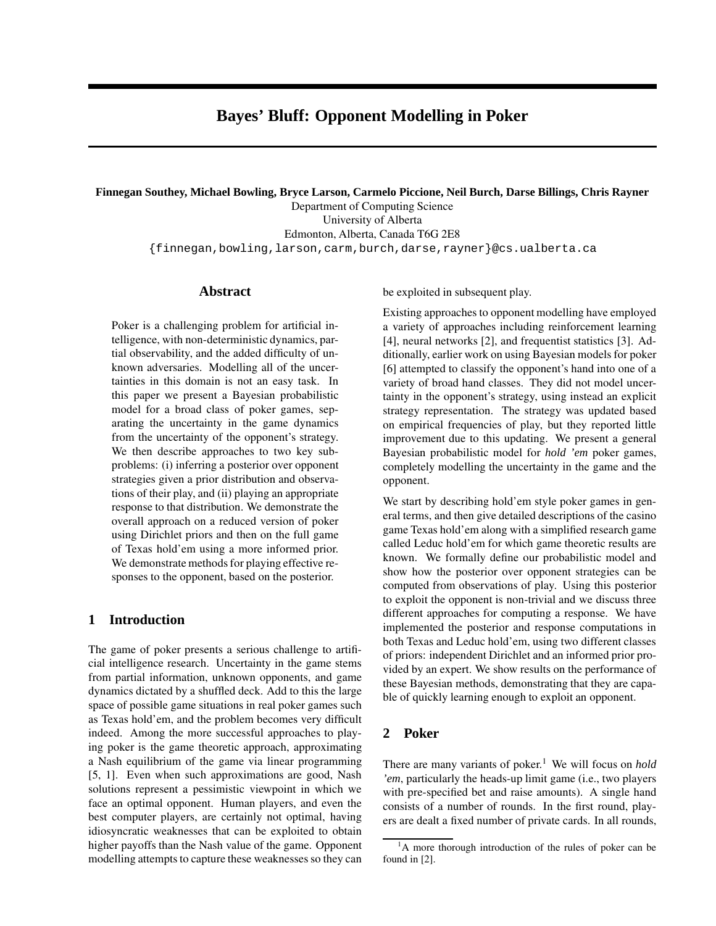# **Bayes' Bluff: Opponent Modelling in Poker**

#### **Finnegan Southey, Michael Bowling, Bryce Larson, Carmelo Piccione, Neil Burch, Darse Billings, Chris Rayner**

Department of Computing Science University of Alberta Edmonton, Alberta, Canada T6G 2E8 {finnegan,bowling,larson,carm,burch,darse,rayner}@cs.ualberta.ca

## **Abstract**

Poker is a challenging problem for artificial intelligence, with non-deterministic dynamics, partial observability, and the added difficulty of unknown adversaries. Modelling all of the uncertainties in this domain is not an easy task. In this paper we present a Bayesian probabilistic model for a broad class of poker games, separating the uncertainty in the game dynamics from the uncertainty of the opponent's strategy. We then describe approaches to two key subproblems: (i) inferring a posterior over opponent strategies given a prior distribution and observations of their play, and (ii) playing an appropriate response to that distribution. We demonstrate the overall approach on a reduced version of poker using Dirichlet priors and then on the full game of Texas hold'em using a more informed prior. We demonstrate methods for playing effective responses to the opponent, based on the posterior.

# **1 Introduction**

The game of poker presents a serious challenge to artificial intelligence research. Uncertainty in the game stems from partial information, unknown opponents, and game dynamics dictated by a shuffled deck. Add to this the large space of possible game situations in real poker games such as Texas hold'em, and the problem becomes very difficult indeed. Among the more successful approaches to playing poker is the game theoretic approach, approximating a Nash equilibrium of the game via linear programming [5, 1]. Even when such approximations are good, Nash solutions represent a pessimistic viewpoint in which we face an optimal opponent. Human players, and even the best computer players, are certainly not optimal, having idiosyncratic weaknesses that can be exploited to obtain higher payoffs than the Nash value of the game. Opponent modelling attempts to capture these weaknesses so they can be exploited in subsequent play.

Existing approaches to opponent modelling have employed a variety of approaches including reinforcement learning [4], neural networks [2], and frequentist statistics [3]. Additionally, earlier work on using Bayesian models for poker [6] attempted to classify the opponent's hand into one of a variety of broad hand classes. They did not model uncertainty in the opponent's strategy, using instead an explicit strategy representation. The strategy was updated based on empirical frequencies of play, but they reported little improvement due to this updating. We present a general Bayesian probabilistic model for *hold 'em* poker games, completely modelling the uncertainty in the game and the opponent.

We start by describing hold'em style poker games in general terms, and then give detailed descriptions of the casino game Texas hold'em along with a simplified research game called Leduc hold'em for which game theoretic results are known. We formally define our probabilistic model and show how the posterior over opponent strategies can be computed from observations of play. Using this posterior to exploit the opponent is non-trivial and we discuss three different approaches for computing a response. We have implemented the posterior and response computations in both Texas and Leduc hold'em, using two different classes of priors: independent Dirichlet and an informed prior provided by an expert. We show results on the performance of these Bayesian methods, demonstrating that they are capable of quickly learning enough to exploit an opponent.

# **2 Poker**

There are many variants of poker. <sup>1</sup> We will focus on *hold 'em*, particularly the heads-up limit game (i.e., two players with pre-specified bet and raise amounts). A single hand consists of a number of rounds. In the first round, players are dealt a fixed number of private cards. In all rounds,

<sup>&</sup>lt;sup>1</sup>A more thorough introduction of the rules of poker can be found in [2].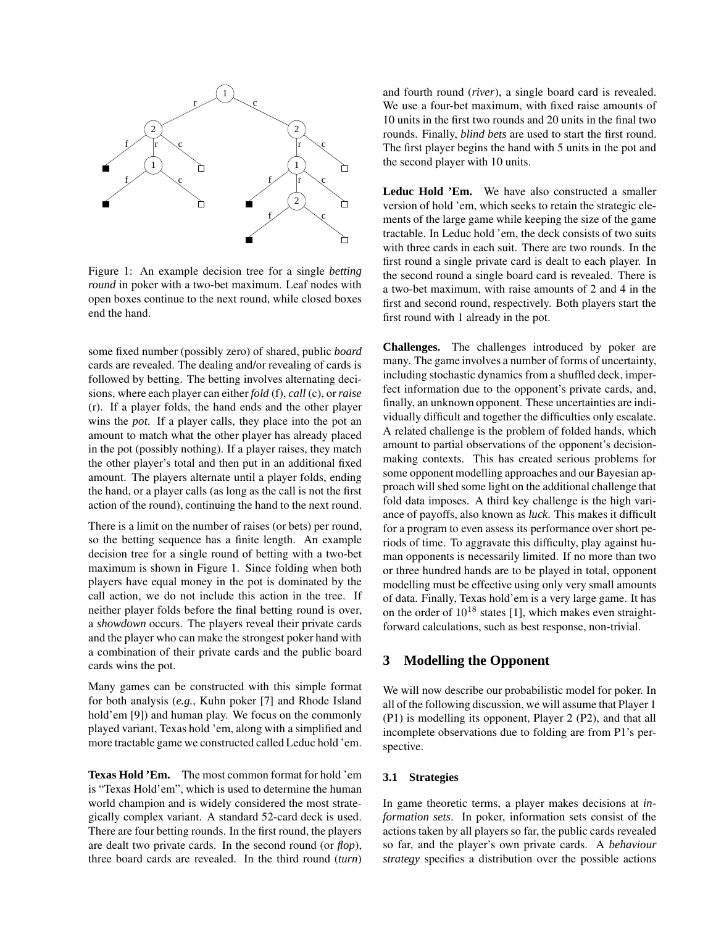

Figure 1: An example decision tree for a single *betting round* in poker with a two-bet maximum. Leaf nodes with open boxes continue to the next round, while closed boxes end the hand.

some fixed number (possibly zero) of shared, public *board* cards are revealed. The dealing and/or revealing of cards is followed by betting. The betting involves alternating decisions, where each player can either *fold* (f), *call* (c), or *raise* (r). If a player folds, the hand ends and the other player wins the *pot*. If a player calls, they place into the pot an amount to match what the other player has already placed in the pot (possibly nothing). If a player raises, they match the other player's total and then put in an additional fixed amount. The players alternate until a player folds, ending the hand, or a player calls (as long as the call is not the first action of the round), continuing the hand to the next round.

There is a limit on the number of raises (or bets) per round, so the betting sequence has a finite length. An example decision tree for a single round of betting with a two-bet maximum is shown in Figure 1. Since folding when both players have equal money in the pot is dominated by the call action, we do not include this action in the tree. If neither player folds before the final betting round is over, a *showdown* occurs. The players reveal their private cards and the player who can make the strongest poker hand with a combination of their private cards and the public board cards wins the pot.

Many games can be constructed with this simple format for both analysis (*e.g.*, Kuhn poker [7] and Rhode Island hold'em [9]) and human play. We focus on the commonly played variant, Texas hold 'em, along with a simplified and more tractable game we constructed called Leduc hold 'em.

**Texas Hold 'Em.** The most common format for hold 'em is "Texas Hold'em", which is used to determine the human world champion and is widely considered the most strategically complex variant. A standard 52-card deck is used. There are four betting rounds. In the first round, the players are dealt two private cards. In the second round (or *flop*), three board cards are revealed. In the third round (*turn*) and fourth round (*river*), a single board card is revealed. We use a four-bet maximum, with fixed raise amounts of 10 units in the first two rounds and 20 units in the final two rounds. Finally, *blind bets* are used to start the first round. The first player begins the hand with 5 units in the pot and the second player with 10 units.

**Leduc Hold 'Em.** We have also constructed a smaller version of hold 'em, which seeks to retain the strategic elements of the large game while keeping the size of the game tractable. In Leduc hold 'em, the deck consists of two suits with three cards in each suit. There are two rounds. In the first round a single private card is dealt to each player. In the second round a single board card is revealed. There is a two-bet maximum, with raise amounts of 2 and 4 in the first and second round, respectively. Both players start the first round with 1 already in the pot.

**Challenges.** The challenges introduced by poker are many. The game involves a number of forms of uncertainty, including stochastic dynamics from a shuffled deck, imperfect information due to the opponent's private cards, and, finally, an unknown opponent. These uncertainties are individually difficult and together the difficulties only escalate. A related challenge is the problem of folded hands, which amount to partial observations of the opponent's decisionmaking contexts. This has created serious problems for some opponent modelling approaches and our Bayesian approach will shed some light on the additional challenge that fold data imposes. A third key challenge is the high variance of payoffs, also known as *luck*. This makes it difficult for a program to even assess its performance over short periods of time. To aggravate this difficulty, play against human opponents is necessarily limited. If no more than two or three hundred hands are to be played in total, opponent modelling must be effective using only very small amounts of data. Finally, Texas hold'em is a very large game. It has on the order of  $10^{18}$  states [1], which makes even straightforward calculations, such as best response, non-trivial.

# **3 Modelling the Opponent**

We will now describe our probabilistic model for poker. In all of the following discussion, we will assume that Player 1 (P1) is modelling its opponent, Player 2 (P2), and that all incomplete observations due to folding are from P1's perspective.

#### **3.1 Strategies**

In game theoretic terms, a player makes decisions at *information sets*. In poker, information sets consist of the actions taken by all players so far, the public cards revealed so far, and the player's own private cards. A *behaviour strategy* specifies a distribution over the possible actions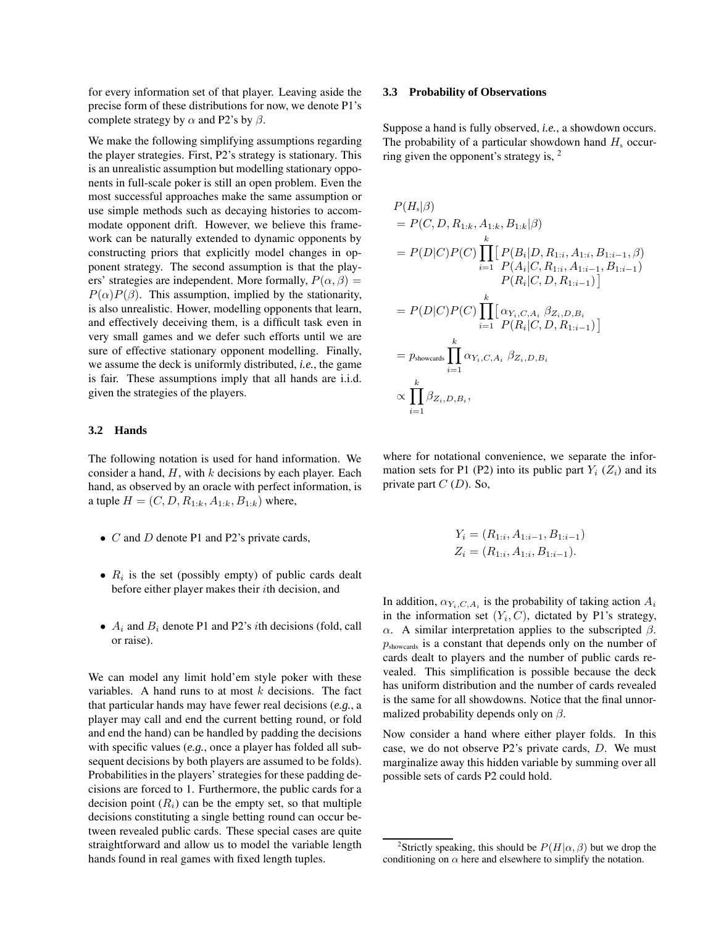for every information set of that player. Leaving aside the precise form of these distributions for now, we denote P1's complete strategy by  $\alpha$  and P2's by  $\beta$ .

We make the following simplifying assumptions regarding the player strategies. First, P2's strategy is stationary. This is an unrealistic assumption but modelling stationary opponents in full-scale poker is still an open problem. Even the most successful approaches make the same assumption or use simple methods such as decaying histories to accommodate opponent drift. However, we believe this framework can be naturally extended to dynamic opponents by constructing priors that explicitly model changes in opponent strategy. The second assumption is that the players' strategies are independent. More formally,  $P(\alpha, \beta) =$  $P(\alpha)P(\beta)$ . This assumption, implied by the stationarity, is also unrealistic. Hower, modelling opponents that learn, and effectively deceiving them, is a difficult task even in very small games and we defer such efforts until we are sure of effective stationary opponent modelling. Finally, we assume the deck is uniformly distributed, *i.e.*, the game is fair. These assumptions imply that all hands are i.i.d. given the strategies of the players.

#### **3.2 Hands**

The following notation is used for hand information. We consider a hand,  $H$ , with  $k$  decisions by each player. Each hand, as observed by an oracle with perfect information, is a tuple  $H = (C, D, R_{1:k}, A_{1:k}, B_{1:k})$  where,

- $C$  and  $D$  denote P1 and P2's private cards,
- $R_i$  is the set (possibly empty) of public cards dealt before either player makes their ith decision, and
- $A_i$  and  $B_i$  denote P1 and P2's *i*th decisions (fold, call or raise).

We can model any limit hold'em style poker with these variables. A hand runs to at most  $k$  decisions. The fact that particular hands may have fewer real decisions (*e.g.*, a player may call and end the current betting round, or fold and end the hand) can be handled by padding the decisions with specific values (*e.g.*, once a player has folded all subsequent decisions by both players are assumed to be folds). Probabilities in the players' strategies for these padding decisions are forced to 1. Furthermore, the public cards for a decision point  $(R<sub>i</sub>)$  can be the empty set, so that multiple decisions constituting a single betting round can occur between revealed public cards. These special cases are quite straightforward and allow us to model the variable length hands found in real games with fixed length tuples.

#### **3.3 Probability of Observations**

Suppose a hand is fully observed, *i.e.*, a showdown occurs. The probability of a particular showdown hand  $H_s$  occurring given the opponent's strategy is, <sup>2</sup>

$$
P(H_s|\beta)
$$
  
=  $P(C, D, R_{1:k}, A_{1:k}, B_{1:k}|\beta)$   
=  $P(D|C)P(C)\prod_{i=1}^k [P(B_i|D, R_{1:i}, A_{1:i}, B_{1:i-1}, \beta)$   
 $P(A_i|C, R_{1:i}, A_{1:i-1}, B_{1:i-1})$   
 $P(R_i|C, D, R_{1:i-1})]$   
=  $P(D|C)P(C)\prod_{i=1}^k [\alpha_{Y_i, C, A_i} \beta_{Z_i, D, B_i}$   
 $P(\text{Rowcards} \prod_{i=1}^k \alpha_{Y_i, C, A_i} \beta_{Z_i, D, B_i})$   
 $\propto \prod_{i=1}^k \beta_{Z_i, D, B_i},$ 

where for notational convenience, we separate the information sets for P1 (P2) into its public part  $Y_i$  ( $Z_i$ ) and its private part  $C(D)$ . So,

$$
Y_i = (R_{1:i}, A_{1:i-1}, B_{1:i-1})
$$
  

$$
Z_i = (R_{1:i}, A_{1:i}, B_{1:i-1}).
$$

In addition,  $\alpha_{Y_i, C, A_i}$  is the probability of taking action  $A_i$ in the information set  $(Y_i, C)$ , dictated by P1's strategy, α. A similar interpretation applies to the subscripted  $β$ .  $p_{\text{showcards}}$  is a constant that depends only on the number of cards dealt to players and the number of public cards revealed. This simplification is possible because the deck has uniform distribution and the number of cards revealed is the same for all showdowns. Notice that the final unnormalized probability depends only on  $\beta$ .

Now consider a hand where either player folds. In this case, we do not observe P2's private cards, D. We must marginalize away this hidden variable by summing over all possible sets of cards P2 could hold.

<sup>&</sup>lt;sup>2</sup>Strictly speaking, this should be  $P(H|\alpha, \beta)$  but we drop the conditioning on  $\alpha$  here and elsewhere to simplify the notation.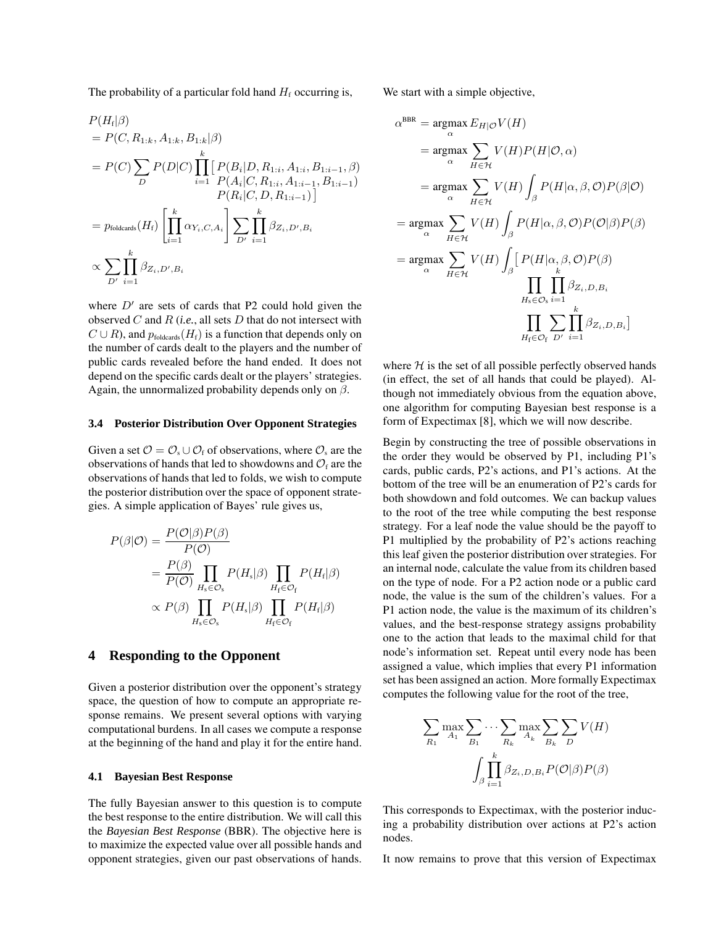The probability of a particular fold hand  $H_f$  occurring is,

$$
P(H_i|\beta)
$$
  
=  $P(C, R_{1:k}, A_{1:k}, B_{1:k}|\beta)$   
=  $P(C) \sum_{D} P(D|C) \prod_{i=1}^{k} [P(B_i|D, R_{1:i}, A_{1:i}, B_{1:i-1}, \beta)$   
 $P(A_i|C, R_{1:i}, A_{1:i-1}, B_{1:i-1})$   
 $P(R_i|C, D, R_{1:i-1})]$   
=  $p_{\text{foldcards}}(H_i) \left[ \prod_{i=1}^{k} \alpha_{Y_i, C, A_i} \right] \sum_{D'} \prod_{i=1}^{k} \beta_{Z_i, D', B_i}$   
 $\propto \sum_{D'} \prod_{i=1}^{k} \beta_{Z_i, D', B_i}$ 

where  $D'$  are sets of cards that P2 could hold given the observed C and R (*i.e.*, all sets D that do not intersect with  $C \cup R$ ), and  $p_{\text{foldcards}}(H_f)$  is a function that depends only on the number of cards dealt to the players and the number of public cards revealed before the hand ended. It does not depend on the specific cards dealt or the players' strategies. Again, the unnormalized probability depends only on  $\beta$ .

#### **3.4 Posterior Distribution Over Opponent Strategies**

Given a set  $\mathcal{O} = \mathcal{O}_s \cup \mathcal{O}_f$  of observations, where  $\mathcal{O}_s$  are the observations of hands that led to showdowns and  $\mathcal{O}_f$  are the observations of hands that led to folds, we wish to compute the posterior distribution over the space of opponent strategies. A simple application of Bayes' rule gives us,

$$
P(\beta|\mathcal{O}) = \frac{P(\mathcal{O}|\beta)P(\beta)}{P(\mathcal{O})}
$$
  
= 
$$
\frac{P(\beta)}{P(\mathcal{O})} \prod_{H_s \in \mathcal{O}_s} P(H_s|\beta) \prod_{H_f \in \mathcal{O}_f} P(H_f|\beta)
$$
  

$$
\propto P(\beta) \prod_{H_s \in \mathcal{O}_s} P(H_s|\beta) \prod_{H_f \in \mathcal{O}_f} P(H_f|\beta)
$$

## **4 Responding to the Opponent**

Given a posterior distribution over the opponent's strategy space, the question of how to compute an appropriate response remains. We present several options with varying computational burdens. In all cases we compute a response at the beginning of the hand and play it for the entire hand.

#### **4.1 Bayesian Best Response**

The fully Bayesian answer to this question is to compute the best response to the entire distribution. We will call this the *Bayesian Best Response* (BBR). The objective here is to maximize the expected value over all possible hands and opponent strategies, given our past observations of hands. We start with a simple objective,

$$
\alpha^{\text{BBR}} = \underset{\alpha}{\operatorname{argmax}} E_{H|\mathcal{O}} V(H)
$$
  
\n
$$
= \underset{\alpha}{\operatorname{argmax}} \sum_{H \in \mathcal{H}} V(H) P(H|\mathcal{O}, \alpha)
$$
  
\n
$$
= \underset{\alpha}{\operatorname{argmax}} \sum_{H \in \mathcal{H}} V(H) \int_{\beta} P(H|\alpha, \beta, \mathcal{O}) P(\beta|\mathcal{O})
$$
  
\n
$$
= \underset{\alpha}{\operatorname{argmax}} \sum_{H \in \mathcal{H}} V(H) \int_{\beta} P(H|\alpha, \beta, \mathcal{O}) P(\mathcal{O}|\beta) P(\beta)
$$
  
\n
$$
= \underset{\alpha}{\operatorname{argmax}} \sum_{H \in \mathcal{H}} V(H) \int_{\beta} \left[ P(H|\alpha, \beta, \mathcal{O}) P(\beta) \right]
$$
  
\n
$$
\prod_{H_s \in \mathcal{O}_s} \prod_{i=1}^{K} \beta_{Z_i, D, B_i}
$$
  
\n
$$
\prod_{H_f \in \mathcal{O}_f} \sum_{D'} \prod_{i=1}^{K} \beta_{Z_i, D, B_i} \right]
$$

where  $H$  is the set of all possible perfectly observed hands (in effect, the set of all hands that could be played). Although not immediately obvious from the equation above, one algorithm for computing Bayesian best response is a form of Expectimax [8], which we will now describe.

Begin by constructing the tree of possible observations in the order they would be observed by P1, including P1's cards, public cards, P2's actions, and P1's actions. At the bottom of the tree will be an enumeration of P2's cards for both showdown and fold outcomes. We can backup values to the root of the tree while computing the best response strategy. For a leaf node the value should be the payoff to P1 multiplied by the probability of P2's actions reaching this leaf given the posterior distribution over strategies. For an internal node, calculate the value from its children based on the type of node. For a P2 action node or a public card node, the value is the sum of the children's values. For a P1 action node, the value is the maximum of its children's values, and the best-response strategy assigns probability one to the action that leads to the maximal child for that node's information set. Repeat until every node has been assigned a value, which implies that every P1 information set has been assigned an action. More formally Expectimax computes the following value for the root of the tree,

$$
\sum_{R_1} \max_{A_1} \sum_{B_1} \cdots \sum_{R_k} \max_{A_k} \sum_{B_k} \sum_{D} V(H)
$$

$$
\int_{\beta} \prod_{i=1}^k \beta_{Z_i, D, B_i} P(\mathcal{O}|\beta) P(\beta)
$$

This corresponds to Expectimax, with the posterior inducing a probability distribution over actions at P2's action nodes.

It now remains to prove that this version of Expectimax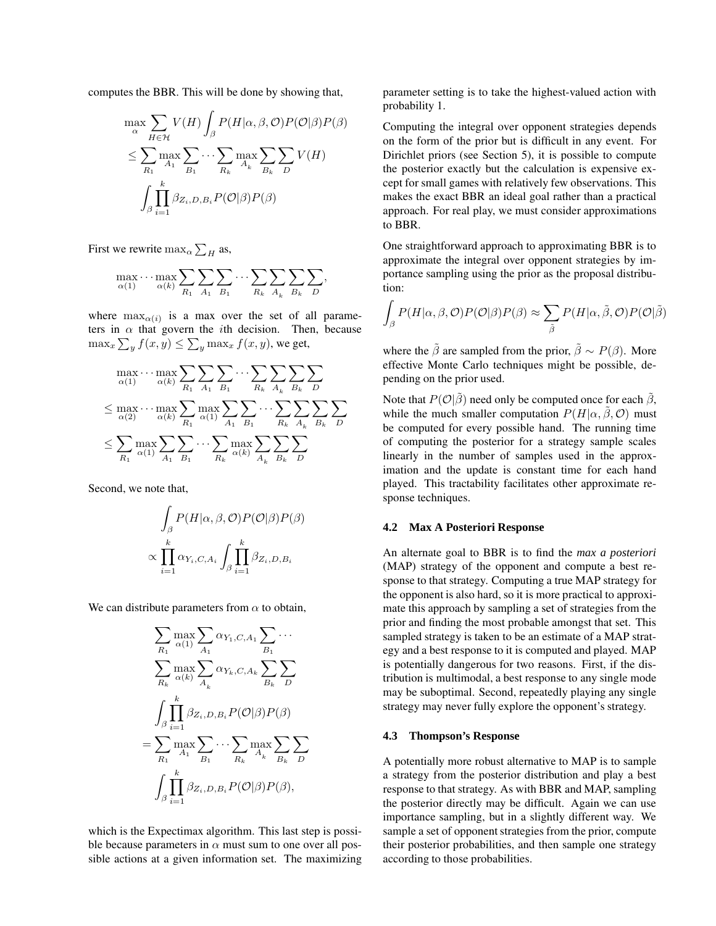computes the BBR. This will be done by showing that,

$$
\max_{\alpha} \sum_{H \in \mathcal{H}} V(H) \int_{\beta} P(H|\alpha, \beta, \mathcal{O}) P(\mathcal{O}|\beta) P(\beta)
$$
  

$$
\leq \sum_{R_1} \max_{A_1} \sum_{B_1} \cdots \sum_{R_k} \max_{A_k} \sum_{B_k} \sum_{D} V(H)
$$
  

$$
\int_{\beta} \prod_{i=1}^{k} \beta_{Z_i, D, B_i} P(\mathcal{O}|\beta) P(\beta)
$$

First we rewrite  $\max_{\alpha} \sum_{H}$  as,

$$
\max_{\alpha(1)} \cdots \max_{\alpha(k)} \sum_{R_1} \sum_{A_1} \sum_{B_1} \cdots \sum_{R_k} \sum_{A_k} \sum_{B_k} \sum_{D},
$$

where  $\max_{\alpha(i)}$  is a max over the set of all parameters in  $\alpha$  that govern the *i*th decision. Then, because  $\max_x \sum_y f(x,y) \leq \sum_y \max_x f(x,y)$ , we get,

$$
\max_{\alpha(1)} \dots \max_{\alpha(k)} \sum_{R_1} \sum_{A_1} \sum_{B_1} \dots \sum_{R_k} \sum_{A_k} \sum_{B_k} \sum_{D}
$$
\n
$$
\leq \max_{\alpha(2)} \dots \max_{\alpha(k)} \sum_{R_1} \max_{\alpha(1)} \sum_{A_1} \sum_{B_1} \dots \sum_{R_k} \sum_{A_k} \sum_{B_k} \sum_{D}
$$
\n
$$
\leq \sum_{R_1} \max_{\alpha(1)} \sum_{A_1} \sum_{B_1} \dots \sum_{R_k} \max_{\alpha(k)} \sum_{A_k} \sum_{B_k} \sum_{D}
$$

Second, we note that,

$$
\int_{\beta} P(H|\alpha, \beta, \mathcal{O}) P(\mathcal{O}|\beta) P(\beta)
$$

$$
\propto \prod_{i=1}^{k} \alpha_{Y_i, C, A_i} \int_{\beta} \prod_{i=1}^{k} \beta_{Z_i, D, B_i}
$$

We can distribute parameters from  $\alpha$  to obtain,

$$
\sum_{R_1} \max_{\alpha(1)} \sum_{A_1} \alpha_{Y_1, C, A_1} \sum_{B_1} \cdots
$$
\n
$$
\sum_{R_k} \max_{\alpha(k)} \sum_{A_k} \alpha_{Y_k, C, A_k} \sum_{B_k} \sum_{D}
$$
\n
$$
\int_{\beta} \prod_{i=1}^k \beta_{Z_i, D, B_i} P(\mathcal{O}|\beta) P(\beta)
$$
\n
$$
= \sum_{R_1} \max_{A_1} \sum_{B_1} \cdots \sum_{R_k} \max_{A_k} \sum_{B_k} \sum_{D}
$$
\n
$$
\int_{\beta} \prod_{i=1}^k \beta_{Z_i, D, B_i} P(\mathcal{O}|\beta) P(\beta),
$$

which is the Expectimax algorithm. This last step is possible because parameters in  $\alpha$  must sum to one over all possible actions at a given information set. The maximizing parameter setting is to take the highest-valued action with probability 1.

Computing the integral over opponent strategies depends on the form of the prior but is difficult in any event. For Dirichlet priors (see Section 5), it is possible to compute the posterior exactly but the calculation is expensive except for small games with relatively few observations. This makes the exact BBR an ideal goal rather than a practical approach. For real play, we must consider approximations to BBR.

One straightforward approach to approximating BBR is to approximate the integral over opponent strategies by importance sampling using the prior as the proposal distribution:

$$
\int_{\beta} P(H|\alpha, \beta, \mathcal{O}) P(\mathcal{O}|\beta) P(\beta) \approx \sum_{\tilde{\beta}} P(H|\alpha, \tilde{\beta}, \mathcal{O}) P(\mathcal{O}|\tilde{\beta})
$$

where the  $\tilde{\beta}$  are sampled from the prior,  $\tilde{\beta} \sim P(\beta)$ . More effective Monte Carlo techniques might be possible, depending on the prior used.

Note that  $P(\mathcal{O}|\tilde{\beta})$  need only be computed once for each  $\tilde{\beta}$ , while the much smaller computation  $P(H|\alpha, \tilde{\beta}, \mathcal{O})$  must be computed for every possible hand. The running time of computing the posterior for a strategy sample scales linearly in the number of samples used in the approximation and the update is constant time for each hand played. This tractability facilitates other approximate response techniques.

#### **4.2 Max A Posteriori Response**

An alternate goal to BBR is to find the *max a posteriori* (MAP) strategy of the opponent and compute a best response to that strategy. Computing a true MAP strategy for the opponent is also hard, so it is more practical to approximate this approach by sampling a set of strategies from the prior and finding the most probable amongst that set. This sampled strategy is taken to be an estimate of a MAP strategy and a best response to it is computed and played. MAP is potentially dangerous for two reasons. First, if the distribution is multimodal, a best response to any single mode may be suboptimal. Second, repeatedly playing any single strategy may never fully explore the opponent's strategy.

#### **4.3 Thompson's Response**

A potentially more robust alternative to MAP is to sample a strategy from the posterior distribution and play a best response to that strategy. As with BBR and MAP, sampling the posterior directly may be difficult. Again we can use importance sampling, but in a slightly different way. We sample a set of opponent strategies from the prior, compute their posterior probabilities, and then sample one strategy according to those probabilities.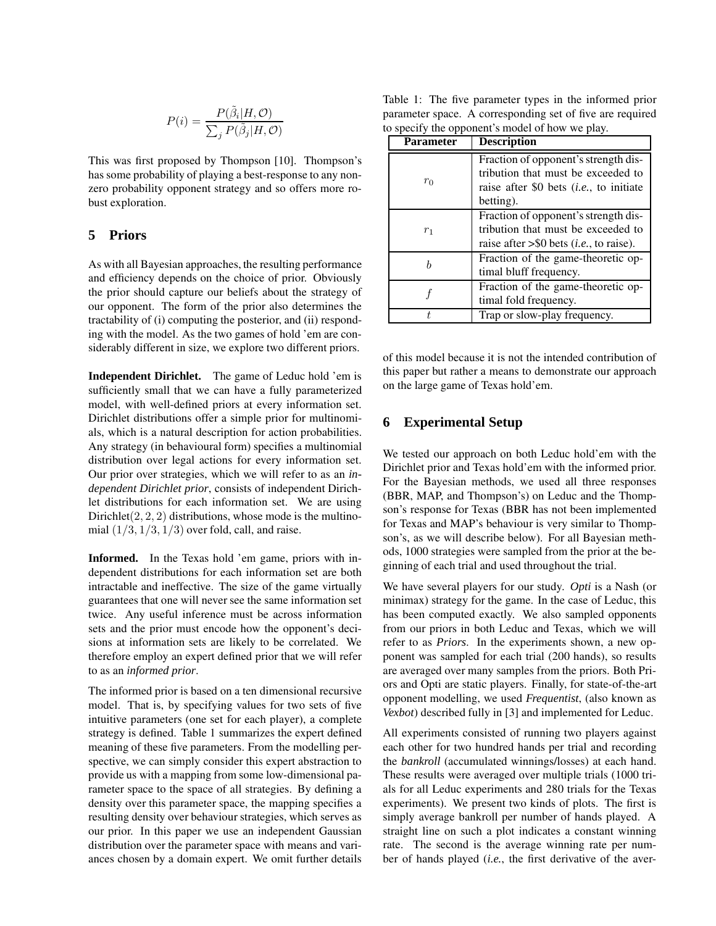$$
P(i) = \frac{P(\tilde{\beta}_i|H, \mathcal{O})}{\sum_j P(\tilde{\beta}_j|H, \mathcal{O})}
$$

This was first proposed by Thompson [10]. Thompson's has some probability of playing a best-response to any nonzero probability opponent strategy and so offers more robust exploration.

# **5 Priors**

As with all Bayesian approaches, the resulting performance and efficiency depends on the choice of prior. Obviously the prior should capture our beliefs about the strategy of our opponent. The form of the prior also determines the tractability of (i) computing the posterior, and (ii) responding with the model. As the two games of hold 'em are considerably different in size, we explore two different priors.

**Independent Dirichlet.** The game of Leduc hold 'em is sufficiently small that we can have a fully parameterized model, with well-defined priors at every information set. Dirichlet distributions offer a simple prior for multinomials, which is a natural description for action probabilities. Any strategy (in behavioural form) specifies a multinomial distribution over legal actions for every information set. Our prior over strategies, which we will refer to as an *independent Dirichlet prior*, consists of independent Dirichlet distributions for each information set. We are using Dirichlet $(2, 2, 2)$  distributions, whose mode is the multinomial  $(1/3, 1/3, 1/3)$  over fold, call, and raise.

**Informed.** In the Texas hold 'em game, priors with independent distributions for each information set are both intractable and ineffective. The size of the game virtually guarantees that one will never see the same information set twice. Any useful inference must be across information sets and the prior must encode how the opponent's decisions at information sets are likely to be correlated. We therefore employ an expert defined prior that we will refer to as an *informed prior*.

The informed prior is based on a ten dimensional recursive model. That is, by specifying values for two sets of five intuitive parameters (one set for each player), a complete strategy is defined. Table 1 summarizes the expert defined meaning of these five parameters. From the modelling perspective, we can simply consider this expert abstraction to provide us with a mapping from some low-dimensional parameter space to the space of all strategies. By defining a density over this parameter space, the mapping specifies a resulting density over behaviour strategies, which serves as our prior. In this paper we use an independent Gaussian distribution over the parameter space with means and variances chosen by a domain expert. We omit further details

Table 1: The five parameter types in the informed prior parameter space. A corresponding set of five are required to specify the opponent's model of how we play.

| <b>Parameter</b> | <b>Description</b>                                  |
|------------------|-----------------------------------------------------|
| $r_0$            | Fraction of opponent's strength dis-                |
|                  | tribution that must be exceeded to                  |
|                  | raise after \$0 bets $(i.e., to initiate)$          |
|                  | betting).                                           |
| r <sub>1</sub>   | Fraction of opponent's strength dis-                |
|                  | tribution that must be exceeded to                  |
|                  | raise after $>$ \$0 bets ( <i>i.e.</i> , to raise). |
| h                | Fraction of the game-theoretic op-                  |
|                  | timal bluff frequency.                              |
|                  | Fraction of the game-theoretic op-                  |
|                  | timal fold frequency.                               |
|                  | Trap or slow-play frequency.                        |

of this model because it is not the intended contribution of this paper but rather a means to demonstrate our approach on the large game of Texas hold'em.

# **6 Experimental Setup**

We tested our approach on both Leduc hold'em with the Dirichlet prior and Texas hold'em with the informed prior. For the Bayesian methods, we used all three responses (BBR, MAP, and Thompson's) on Leduc and the Thompson's response for Texas (BBR has not been implemented for Texas and MAP's behaviour is very similar to Thompson's, as we will describe below). For all Bayesian methods, 1000 strategies were sampled from the prior at the beginning of each trial and used throughout the trial.

We have several players for our study. *Opti* is a Nash (or minimax) strategy for the game. In the case of Leduc, this has been computed exactly. We also sampled opponents from our priors in both Leduc and Texas, which we will refer to as *Priors*. In the experiments shown, a new opponent was sampled for each trial (200 hands), so results are averaged over many samples from the priors. Both Priors and Opti are static players. Finally, for state-of-the-art opponent modelling, we used *Frequentist*, (also known as *Vexbot*) described fully in [3] and implemented for Leduc.

All experiments consisted of running two players against each other for two hundred hands per trial and recording the *bankroll* (accumulated winnings/losses) at each hand. These results were averaged over multiple trials (1000 trials for all Leduc experiments and 280 trials for the Texas experiments). We present two kinds of plots. The first is simply average bankroll per number of hands played. A straight line on such a plot indicates a constant winning rate. The second is the average winning rate per number of hands played (*i.e.*, the first derivative of the aver-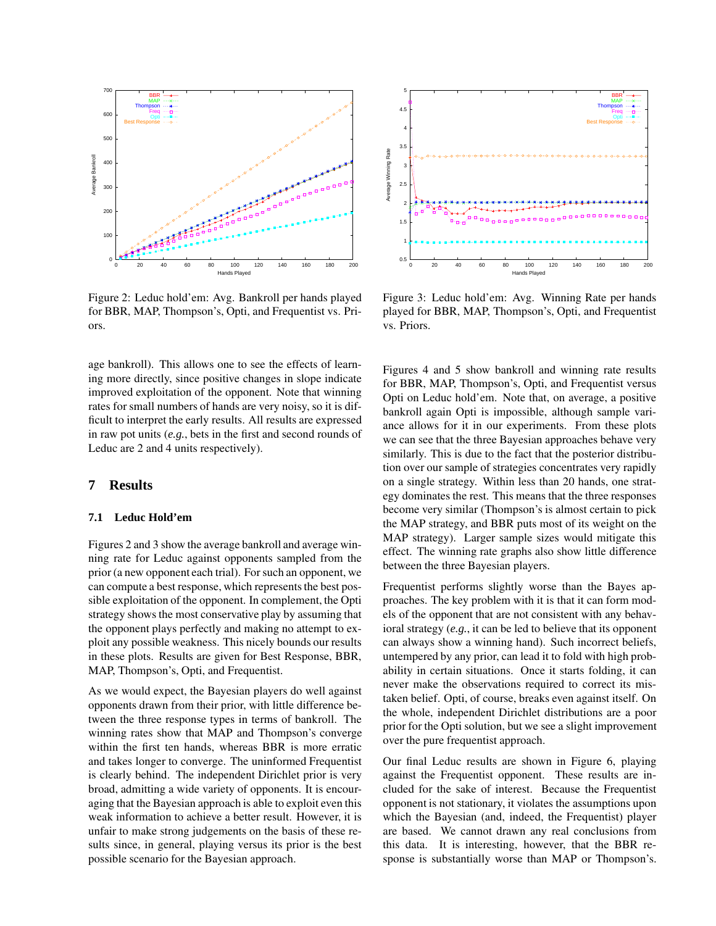

Figure 2: Leduc hold'em: Avg. Bankroll per hands played for BBR, MAP, Thompson's, Opti, and Frequentist vs. Priors.

age bankroll). This allows one to see the effects of learning more directly, since positive changes in slope indicate improved exploitation of the opponent. Note that winning rates for small numbers of hands are very noisy, so it is difficult to interpret the early results. All results are expressed in raw pot units (*e.g.*, bets in the first and second rounds of Leduc are 2 and 4 units respectively).

#### **7 Results**

#### **7.1 Leduc Hold'em**

Figures 2 and 3 show the average bankroll and average winning rate for Leduc against opponents sampled from the prior (a new opponent each trial). For such an opponent, we can compute a best response, which represents the best possible exploitation of the opponent. In complement, the Opti strategy shows the most conservative play by assuming that the opponent plays perfectly and making no attempt to exploit any possible weakness. This nicely bounds our results in these plots. Results are given for Best Response, BBR, MAP, Thompson's, Opti, and Frequentist.

As we would expect, the Bayesian players do well against opponents drawn from their prior, with little difference between the three response types in terms of bankroll. The winning rates show that MAP and Thompson's converge within the first ten hands, whereas BBR is more erratic and takes longer to converge. The uninformed Frequentist is clearly behind. The independent Dirichlet prior is very broad, admitting a wide variety of opponents. It is encouraging that the Bayesian approach is able to exploit even this weak information to achieve a better result. However, it is unfair to make strong judgements on the basis of these results since, in general, playing versus its prior is the best possible scenario for the Bayesian approach.



Figure 3: Leduc hold'em: Avg. Winning Rate per hands played for BBR, MAP, Thompson's, Opti, and Frequentist vs. Priors.

Figures 4 and 5 show bankroll and winning rate results for BBR, MAP, Thompson's, Opti, and Frequentist versus Opti on Leduc hold'em. Note that, on average, a positive bankroll again Opti is impossible, although sample variance allows for it in our experiments. From these plots we can see that the three Bayesian approaches behave very similarly. This is due to the fact that the posterior distribution over our sample of strategies concentrates very rapidly on a single strategy. Within less than 20 hands, one strategy dominates the rest. This means that the three responses become very similar (Thompson's is almost certain to pick the MAP strategy, and BBR puts most of its weight on the MAP strategy). Larger sample sizes would mitigate this effect. The winning rate graphs also show little difference between the three Bayesian players.

Frequentist performs slightly worse than the Bayes approaches. The key problem with it is that it can form models of the opponent that are not consistent with any behavioral strategy (*e.g.*, it can be led to believe that its opponent can always show a winning hand). Such incorrect beliefs, untempered by any prior, can lead it to fold with high probability in certain situations. Once it starts folding, it can never make the observations required to correct its mistaken belief. Opti, of course, breaks even against itself. On the whole, independent Dirichlet distributions are a poor prior for the Opti solution, but we see a slight improvement over the pure frequentist approach.

Our final Leduc results are shown in Figure 6, playing against the Frequentist opponent. These results are included for the sake of interest. Because the Frequentist opponent is not stationary, it violates the assumptions upon which the Bayesian (and, indeed, the Frequentist) player are based. We cannot drawn any real conclusions from this data. It is interesting, however, that the BBR response is substantially worse than MAP or Thompson's.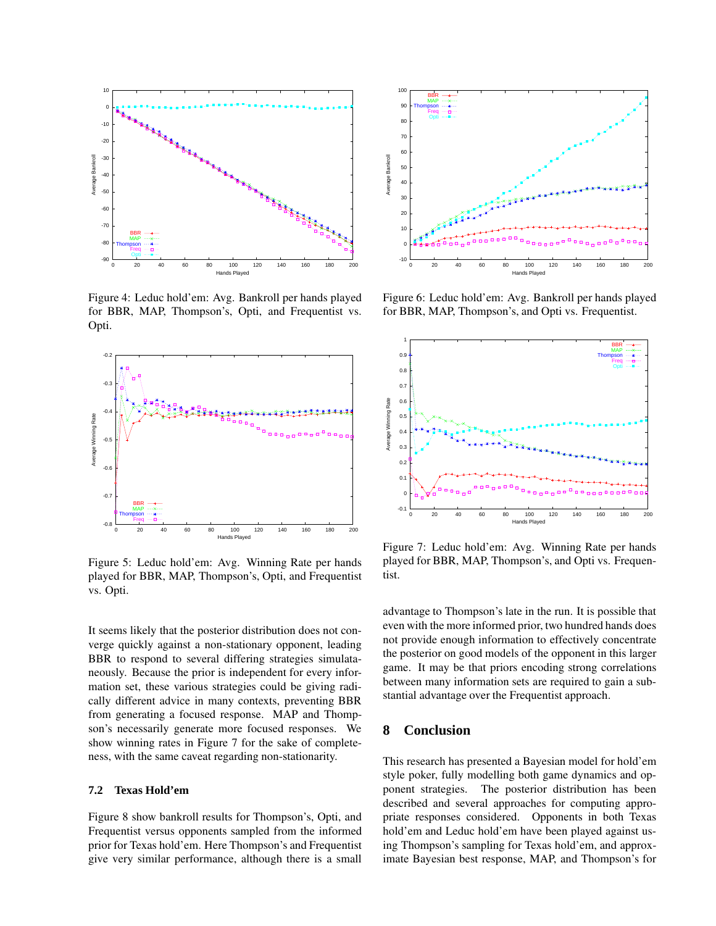

Figure 4: Leduc hold'em: Avg. Bankroll per hands played for BBR, MAP, Thompson's, Opti, and Frequentist vs. Opti.



Figure 5: Leduc hold'em: Avg. Winning Rate per hands played for BBR, MAP, Thompson's, Opti, and Frequentist vs. Opti.

It seems likely that the posterior distribution does not converge quickly against a non-stationary opponent, leading BBR to respond to several differing strategies simulataneously. Because the prior is independent for every information set, these various strategies could be giving radically different advice in many contexts, preventing BBR from generating a focused response. MAP and Thompson's necessarily generate more focused responses. We show winning rates in Figure 7 for the sake of completeness, with the same caveat regarding non-stationarity.

### **7.2 Texas Hold'em**

Figure 8 show bankroll results for Thompson's, Opti, and Frequentist versus opponents sampled from the informed prior for Texas hold'em. Here Thompson's and Frequentist give very similar performance, although there is a small



Figure 6: Leduc hold'em: Avg. Bankroll per hands played for BBR, MAP, Thompson's, and Opti vs. Frequentist.



Figure 7: Leduc hold'em: Avg. Winning Rate per hands played for BBR, MAP, Thompson's, and Opti vs. Frequentist.

advantage to Thompson's late in the run. It is possible that even with the more informed prior, two hundred hands does not provide enough information to effectively concentrate the posterior on good models of the opponent in this larger game. It may be that priors encoding strong correlations between many information sets are required to gain a substantial advantage over the Frequentist approach.

### **8 Conclusion**

This research has presented a Bayesian model for hold'em style poker, fully modelling both game dynamics and opponent strategies. The posterior distribution has been described and several approaches for computing appropriate responses considered. Opponents in both Texas hold'em and Leduc hold'em have been played against using Thompson's sampling for Texas hold'em, and approximate Bayesian best response, MAP, and Thompson's for